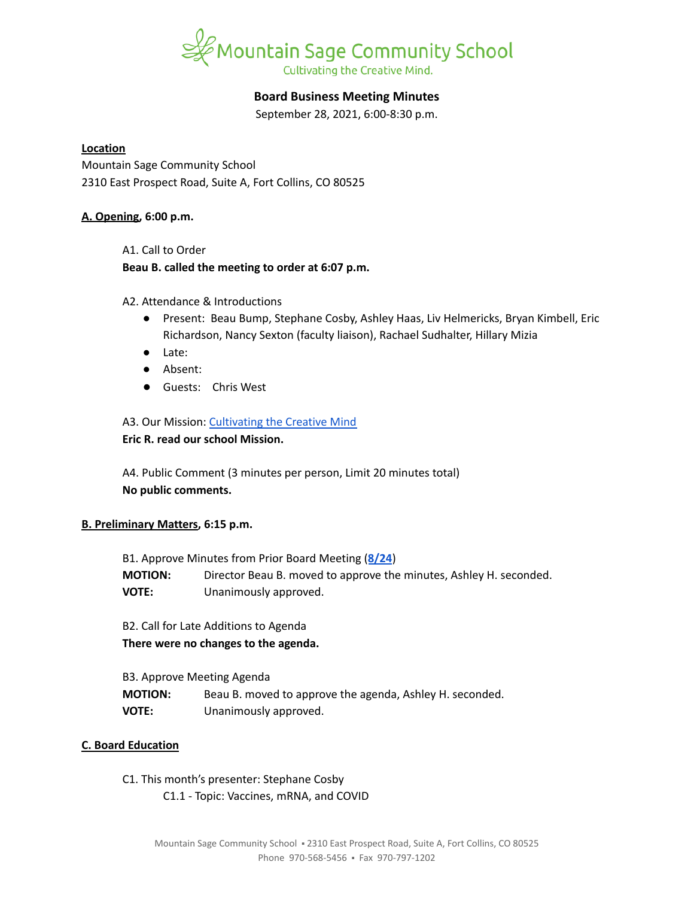

## **Board Business Meeting Minutes**

September 28, 2021, 6:00-8:30 p.m.

### **Location**

Mountain Sage Community School 2310 East Prospect Road, Suite A, Fort Collins, CO 80525

## **A. Opening, 6:00 p.m.**

A1. Call to Order

#### **Beau B. called the meeting to order at 6:07 p.m.**

A2. Attendance & Introductions

- Present: Beau Bump, Stephane Cosby, Ashley Haas, Liv Helmericks, Bryan Kimbell, Eric Richardson, Nancy Sexton (faculty liaison), Rachael Sudhalter, Hillary Mizia
- Late:
- Absent:
- Guests: Chris West

## A3. Our Mission: [Cultivating](https://www.mountainsage.org/about-us/mission-and-vision/) the Creative Mind

#### **Eric R. read our school Mission.**

A4. Public Comment (3 minutes per person, Limit 20 minutes total) **No public comments.**

## **B. Preliminary Matters, 6:15 p.m.**

| B1. Approve Minutes from Prior Board Meeting (8/24) |                                                                    |
|-----------------------------------------------------|--------------------------------------------------------------------|
| <b>MOTION:</b>                                      | Director Beau B. moved to approve the minutes, Ashley H. seconded. |
| <b>VOTE:</b>                                        | Unanimously approved.                                              |

B2. Call for Late Additions to Agenda **There were no changes to the agenda.**

| B3. Approve Meeting Agenda |                                                          |
|----------------------------|----------------------------------------------------------|
| <b>MOTION:</b>             | Beau B. moved to approve the agenda, Ashley H. seconded. |
| <b>VOTE:</b>               | Unanimously approved.                                    |

## **C. Board Education**

C1. This month's presenter: Stephane Cosby C1.1 - Topic: Vaccines, mRNA, and COVID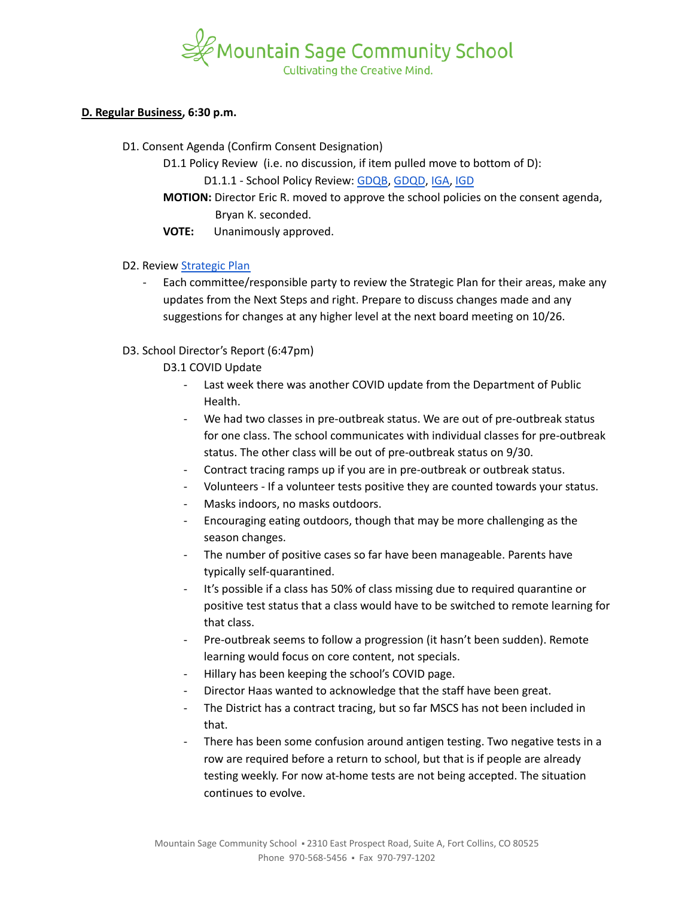

#### **D. Regular Business, 6:30 p.m.**

D1. Consent Agenda (Confirm Consent Designation)

D1.1 Policy Review (i.e. no discussion, if item pulled move to bottom of D):

D1.1.1 - School Policy Review: [GDQB](https://docs.google.com/document/d/1v4tGD07QFE56LKxTItzfu02rLfKRePcJk07Ao1XmLRg), [GDQD](https://drive.google.com/open?id=1Ewwb0RIPZasF4ZmW7YUI-MQyvjgK7_aGBF7_874vNm8), [IGA,](https://drive.google.com/open?id=17V0SGbIQdLADRZ5pwr_sr0Dl9RI-k8U9fvpsVhO2Cso) [IGD](https://drive.google.com/open?id=1dp0fAXOoFv1_XlJI0FYOgRRxLkpDFmdC1HH8hRpezBg)

**MOTION:** Director Eric R. moved to approve the school policies on the consent agenda, Bryan K. seconded.

**VOTE:** Unanimously approved.

## D2. Review [Strategic](https://docs.google.com/spreadsheets/d/1RR7z4DQ0Oq8Z29iw-TRpzfxcoDyemB4IFJY4Hpq8Y_k/edit?usp=sharing) Plan

- Each committee/responsible party to review the Strategic Plan for their areas, make any updates from the Next Steps and right. Prepare to discuss changes made and any suggestions for changes at any higher level at the next board meeting on 10/26.

## D3. School Director's Report (6:47pm)

D3.1 COVID Update

- Last week there was another COVID update from the Department of Public Health.
- We had two classes in pre-outbreak status. We are out of pre-outbreak status for one class. The school communicates with individual classes for pre-outbreak status. The other class will be out of pre-outbreak status on 9/30.
- Contract tracing ramps up if you are in pre-outbreak or outbreak status.
- Volunteers If a volunteer tests positive they are counted towards your status.
- Masks indoors, no masks outdoors.
- Encouraging eating outdoors, though that may be more challenging as the season changes.
- The number of positive cases so far have been manageable. Parents have typically self-quarantined.
- It's possible if a class has 50% of class missing due to required quarantine or positive test status that a class would have to be switched to remote learning for that class.
- Pre-outbreak seems to follow a progression (it hasn't been sudden). Remote learning would focus on core content, not specials.
- Hillary has been keeping the school's COVID page.
- Director Haas wanted to acknowledge that the staff have been great.
- The District has a contract tracing, but so far MSCS has not been included in that.
- There has been some confusion around antigen testing. Two negative tests in a row are required before a return to school, but that is if people are already testing weekly. For now at-home tests are not being accepted. The situation continues to evolve.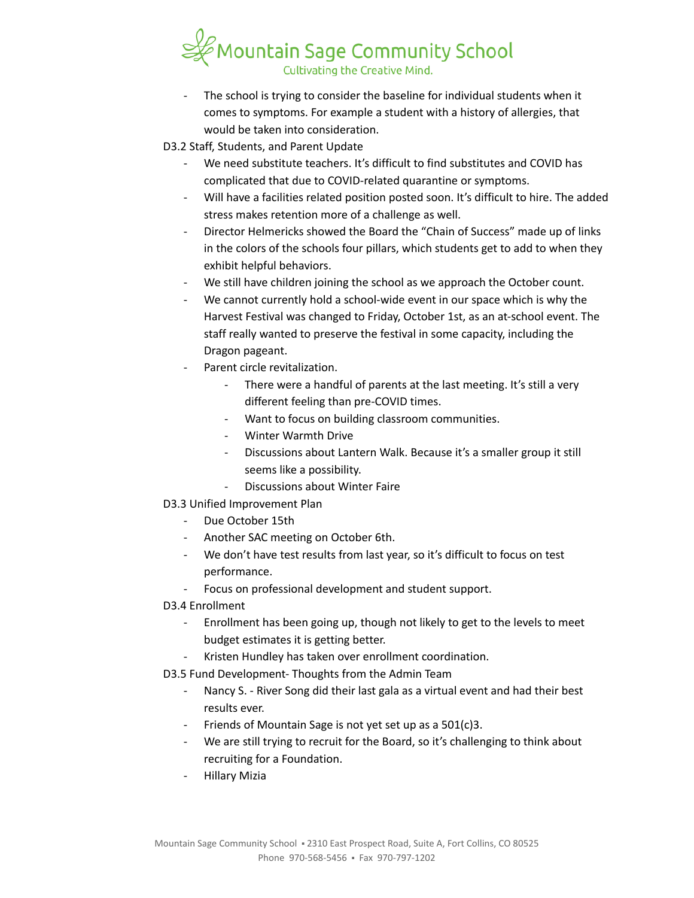

The school is trying to consider the baseline for individual students when it comes to symptoms. For example a student with a history of allergies, that would be taken into consideration.

D3.2 Staff, Students, and Parent Update

- We need substitute teachers. It's difficult to find substitutes and COVID has complicated that due to COVID-related quarantine or symptoms.
- Will have a facilities related position posted soon. It's difficult to hire. The added stress makes retention more of a challenge as well.
- Director Helmericks showed the Board the "Chain of Success" made up of links in the colors of the schools four pillars, which students get to add to when they exhibit helpful behaviors.
- We still have children joining the school as we approach the October count.
- We cannot currently hold a school-wide event in our space which is why the Harvest Festival was changed to Friday, October 1st, as an at-school event. The staff really wanted to preserve the festival in some capacity, including the Dragon pageant.
- Parent circle revitalization.
	- There were a handful of parents at the last meeting. It's still a very different feeling than pre-COVID times.
	- Want to focus on building classroom communities.
	- Winter Warmth Drive
	- Discussions about Lantern Walk. Because it's a smaller group it still seems like a possibility.
	- Discussions about Winter Faire
- D3.3 Unified Improvement Plan
	- Due October 15th
	- Another SAC meeting on October 6th.
	- We don't have test results from last year, so it's difficult to focus on test performance.
	- Focus on professional development and student support.

# D3.4 Enrollment

- Enrollment has been going up, though not likely to get to the levels to meet budget estimates it is getting better.
- Kristen Hundley has taken over enrollment coordination.

D3.5 Fund Development- Thoughts from the Admin Team

- Nancy S. River Song did their last gala as a virtual event and had their best results ever.
- Friends of Mountain Sage is not yet set up as a 501(c)3.
- We are still trying to recruit for the Board, so it's challenging to think about recruiting for a Foundation.
- Hillary Mizia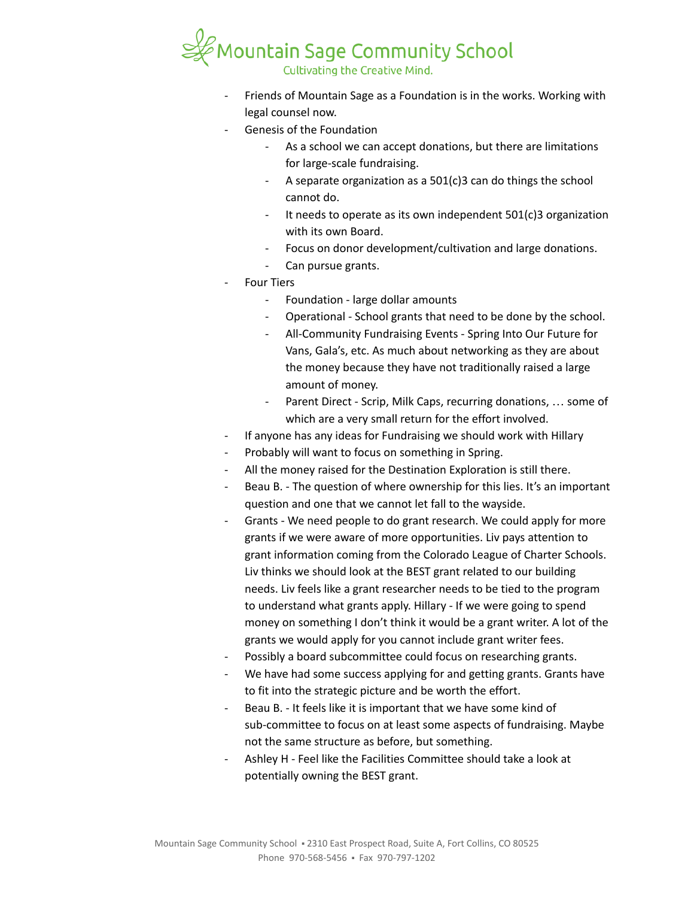

Friends of Mountain Sage as a Foundation is in the works. Working with legal counsel now.

- Genesis of the Foundation
	- As a school we can accept donations, but there are limitations for large-scale fundraising.
	- A separate organization as a  $501(c)3$  can do things the school cannot do.
	- It needs to operate as its own independent  $501(c)3$  organization with its own Board.
	- Focus on donor development/cultivation and large donations.
	- Can pursue grants.
- **Four Tiers** 
	- Foundation large dollar amounts
	- Operational School grants that need to be done by the school.
	- All-Community Fundraising Events Spring Into Our Future for Vans, Gala's, etc. As much about networking as they are about the money because they have not traditionally raised a large amount of money.
	- Parent Direct Scrip, Milk Caps, recurring donations, ... some of which are a very small return for the effort involved.
- If anyone has any ideas for Fundraising we should work with Hillary
- Probably will want to focus on something in Spring.
- All the money raised for the Destination Exploration is still there.
- Beau B. The question of where ownership for this lies. It's an important question and one that we cannot let fall to the wayside.
- Grants We need people to do grant research. We could apply for more grants if we were aware of more opportunities. Liv pays attention to grant information coming from the Colorado League of Charter Schools. Liv thinks we should look at the BEST grant related to our building needs. Liv feels like a grant researcher needs to be tied to the program to understand what grants apply. Hillary - If we were going to spend money on something I don't think it would be a grant writer. A lot of the grants we would apply for you cannot include grant writer fees.
- Possibly a board subcommittee could focus on researching grants.
- We have had some success applying for and getting grants. Grants have to fit into the strategic picture and be worth the effort.
- Beau B. It feels like it is important that we have some kind of sub-committee to focus on at least some aspects of fundraising. Maybe not the same structure as before, but something.
- Ashley H Feel like the Facilities Committee should take a look at potentially owning the BEST grant.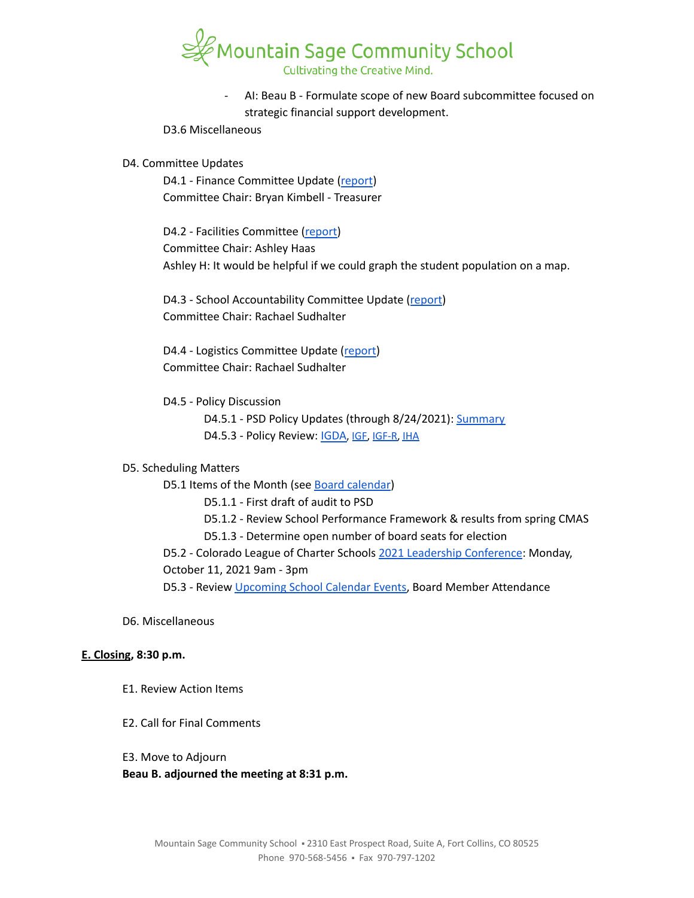

AI: Beau B - Formulate scope of new Board subcommittee focused on strategic financial support development.

D3.6 Miscellaneous

#### D4. Committee Updates

D4.1 - Finance Committee Update ([report](https://docs.google.com/document/d/14Cd46J0j6UxsXxUnjZNzeHrIVRdGPQB_bxN5vyZgIxU)) Committee Chair: Bryan Kimbell - Treasurer

D4.2 - Facilities Committee [\(report\)](https://docs.google.com/document/d/1h4B69xl6H0Zhxotkpli11CiLX3zkelVvyEaJgkyGR3Y) Committee Chair: Ashley Haas Ashley H: It would be helpful if we could graph the student population on a map.

D4.3 - School Accountability Committee Update [\(report](https://docs.google.com/document/d/1cQHzZk37psup_0VHZqHlMASzOVGk-QnEfdCpo1lHMVY)) Committee Chair: Rachael Sudhalter

D4.4 - Logistics Committee Update ([report](https://docs.google.com/document/d/1wC4rBl5uEchnm-agnhP-3HCXLNCpTChbGrpYoYN12Mc)) Committee Chair: Rachael Sudhalter

D4.5 - Policy Discussion

D4.5.1 - PSD Policy Updates (through 8/24/2021): [Summary](https://docs.google.com/document/d/1IRjBW801eKMXwGIBO-RymQYPvB6adrHbo08rNoaCh5M/edit?usp=sharing) D4.5.3 - Policy Review: [IGDA](https://drive.google.com/open?id=1ONFLsWwDw5QlA0qGKI4D_B0HvphriPoS0YBWOq-vUs0), IGE, [IGF-R,](https://drive.google.com/open?id=1miaI655qSVx0mkoge_Ogf0wfQe_WHysQOHWy3E8vP_4) [IHA](https://drive.google.com/open?id=1rMNshX07qFv68v2FzhCZDtcOTvdvQ8-phi6XyMGnv2A)

## D5. Scheduling Matters

D5.1 Items of the Month (see Board [calendar\)](https://docs.google.com/document/d/12S6s-qevYMsnj8Cr2yw6uMO7S7hL3gz2oKvXZk5ZndQ/edit?usp=sharing)

D5.1.1 - First draft of audit to PSD

- D5.1.2 Review School Performance Framework & results from spring CMAS
- D5.1.3 Determine open number of board seats for election

D5.2 - Colorado League of Charter Schools 2021 Leadership [Conference](https://coloradoleague.org/page/ls21?_zs=ct7mc&_zl=832j2): Monday, October 11, 2021 9am - 3pm

D5.3 - Review [Upcoming](https://www.mountainsage.org/calendars/) School Calendar Events, Board Member Attendance

D6. Miscellaneous

#### **E. Closing, 8:30 p.m.**

- E1. Review Action Items
- E2. Call for Final Comments
- E3. Move to Adjourn

**Beau B. adjourned the meeting at 8:31 p.m.**